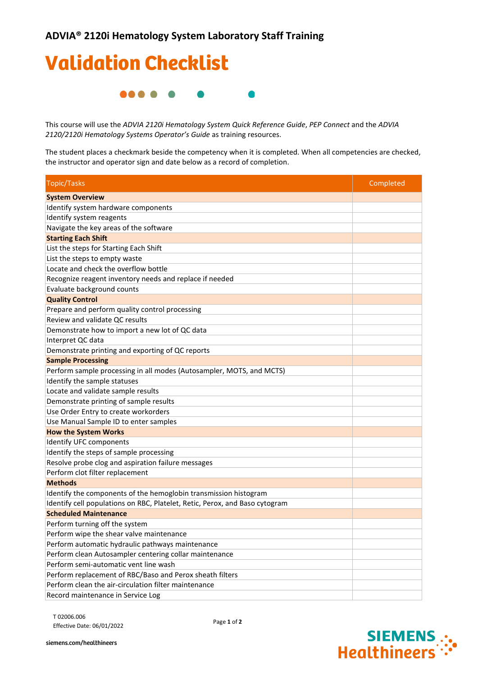## Validation Checklist **.....**

This course will use the *ADVIA 2120i Hematology System Quick Reference Guide*, *PEP Connect* and the *ADVIA 2120/2120i Hematology Systems Operator's Guide* as training resources.

The student places a checkmark beside the competency when it is completed. When all competencies are checked, the instructor and operator sign and date below as a record of completion.

| <b>Topic/Tasks</b>                                                          | Completed |
|-----------------------------------------------------------------------------|-----------|
| <b>System Overview</b>                                                      |           |
| Identify system hardware components                                         |           |
| Identify system reagents                                                    |           |
| Navigate the key areas of the software                                      |           |
| <b>Starting Each Shift</b>                                                  |           |
| List the steps for Starting Each Shift                                      |           |
| List the steps to empty waste                                               |           |
| Locate and check the overflow bottle                                        |           |
| Recognize reagent inventory needs and replace if needed                     |           |
| Evaluate background counts                                                  |           |
| <b>Quality Control</b>                                                      |           |
| Prepare and perform quality control processing                              |           |
| Review and validate QC results                                              |           |
| Demonstrate how to import a new lot of QC data                              |           |
| Interpret QC data                                                           |           |
| Demonstrate printing and exporting of QC reports                            |           |
| <b>Sample Processing</b>                                                    |           |
| Perform sample processing in all modes (Autosampler, MOTS, and MCTS)        |           |
| Identify the sample statuses                                                |           |
| Locate and validate sample results                                          |           |
| Demonstrate printing of sample results                                      |           |
| Use Order Entry to create workorders                                        |           |
| Use Manual Sample ID to enter samples                                       |           |
| <b>How the System Works</b>                                                 |           |
| Identify UFC components                                                     |           |
| Identify the steps of sample processing                                     |           |
| Resolve probe clog and aspiration failure messages                          |           |
| Perform clot filter replacement                                             |           |
| <b>Methods</b>                                                              |           |
| Identify the components of the hemoglobin transmission histogram            |           |
| Identify cell populations on RBC, Platelet, Retic, Perox, and Baso cytogram |           |
| <b>Scheduled Maintenance</b>                                                |           |
| Perform turning off the system                                              |           |
| Perform wipe the shear valve maintenance                                    |           |
| Perform automatic hydraulic pathways maintenance                            |           |
| Perform clean Autosampler centering collar maintenance                      |           |
| Perform semi-automatic vent line wash                                       |           |
| Perform replacement of RBC/Baso and Perox sheath filters                    |           |
| Perform clean the air-circulation filter maintenance                        |           |
| Record maintenance in Service Log                                           |           |

T 02006.006 Effective Date: 06/01/2022

Page **1** of **2**